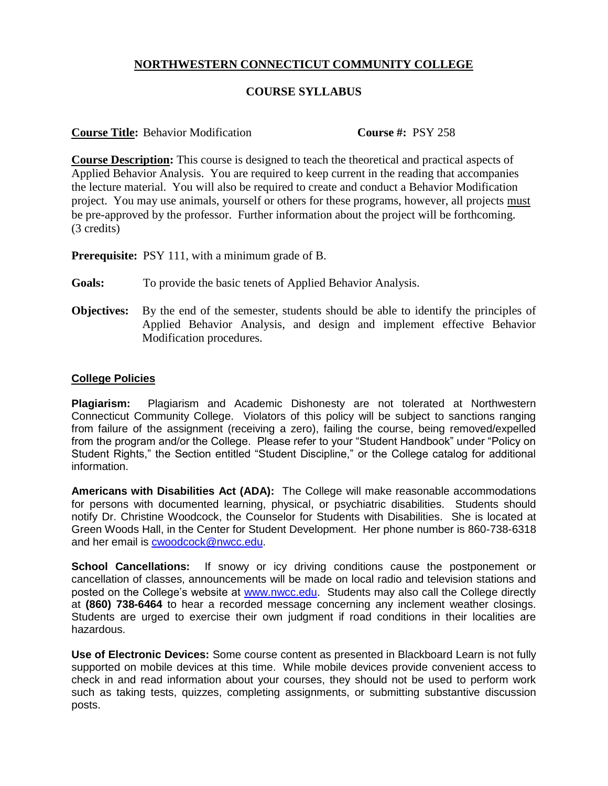## **NORTHWESTERN CONNECTICUT COMMUNITY COLLEGE**

## **COURSE SYLLABUS**

**Course Title:** Behavior Modification **Course #:** PSY 258

**Course Description:** This course is designed to teach the theoretical and practical aspects of Applied Behavior Analysis. You are required to keep current in the reading that accompanies the lecture material. You will also be required to create and conduct a Behavior Modification project. You may use animals, yourself or others for these programs, however, all projects must be pre-approved by the professor. Further information about the project will be forthcoming. (3 credits)

**Prerequisite:** PSY 111, with a minimum grade of B.

**Goals:** To provide the basic tenets of Applied Behavior Analysis.

**Objectives:** By the end of the semester, students should be able to identify the principles of Applied Behavior Analysis, and design and implement effective Behavior Modification procedures.

## **College Policies**

**Plagiarism:** Plagiarism and Academic Dishonesty are not tolerated at Northwestern Connecticut Community College. Violators of this policy will be subject to sanctions ranging from failure of the assignment (receiving a zero), failing the course, being removed/expelled from the program and/or the College. Please refer to your "Student Handbook" under "Policy on Student Rights," the Section entitled "Student Discipline," or the College catalog for additional information.

**Americans with Disabilities Act (ADA):** The College will make reasonable accommodations for persons with documented learning, physical, or psychiatric disabilities. Students should notify Dr. Christine Woodcock, the Counselor for Students with Disabilities. She is located at Green Woods Hall, in the Center for Student Development. Her phone number is 860-738-6318 and her email is [cwoodcock@nwcc.edu.](mailto:cwoodcock@nwcc.edu)

**School Cancellations:** If snowy or icy driving conditions cause the postponement or cancellation of classes, announcements will be made on local radio and television stations and posted on the College's website at [www.nwcc.edu.](http://www.nwcc.edu/) Students may also call the College directly at **(860) 738-6464** to hear a recorded message concerning any inclement weather closings. Students are urged to exercise their own judgment if road conditions in their localities are hazardous.

**Use of Electronic Devices:** Some course content as presented in Blackboard Learn is not fully supported on mobile devices at this time. While mobile devices provide convenient access to check in and read information about your courses, they should not be used to perform work such as taking tests, quizzes, completing assignments, or submitting substantive discussion posts.